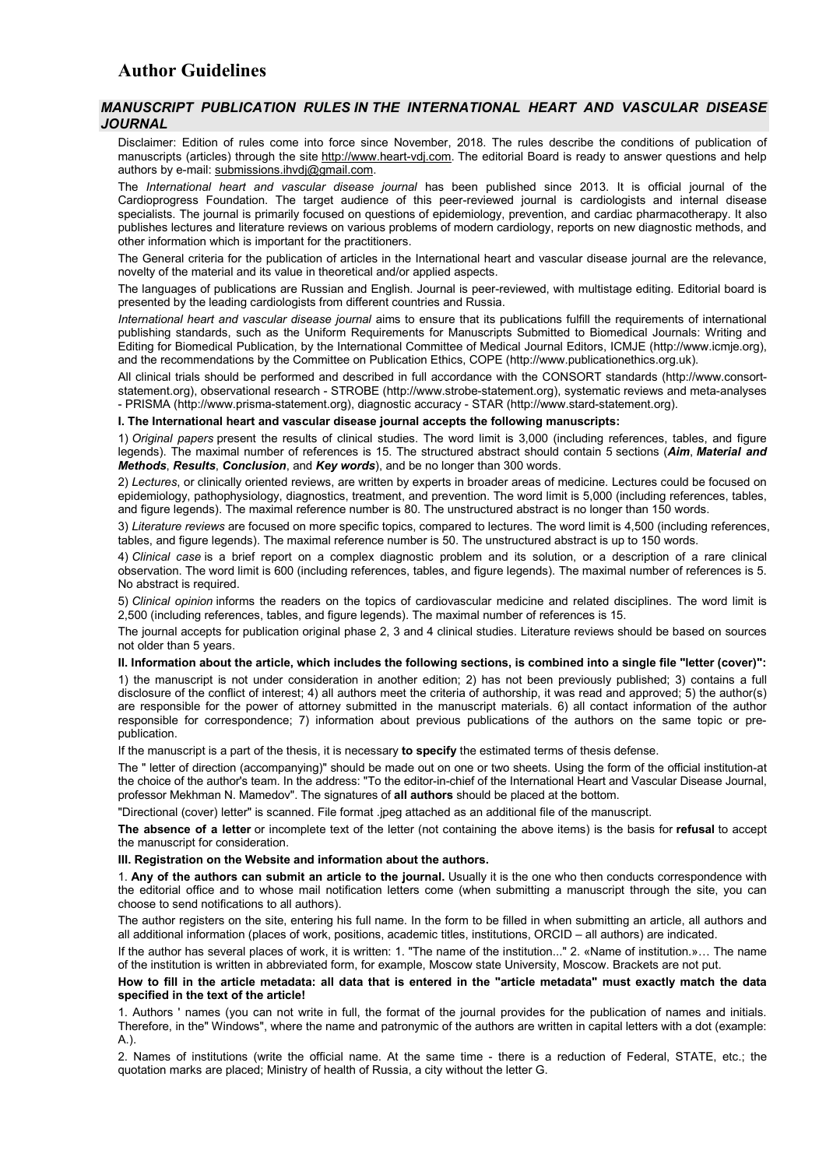## **Author Guidelines**

## *MANUSCRIPT PUBLICATION RULES IN THE INTERNATIONAL HEART AND VASCULAR DISEASE JOURNAL*

Disclaimer: Edition of rules come into force since November, 2018. The rules describe the conditions of publication of manuscripts (articles) through the site [http://www.heart-vdj.com.](http://www.heart-vdj.com/) The editorial Board is ready to answer questions and help authors by e-mail: [submissions.ihvdj@gmail.com.](mailto:submissions.ihvdj@gmail.com)

The *International heart and vascular disease journal* has been published since 2013. It is official journal of the Cardioprogress Foundation. The target audience of this peer-reviewed journal is cardiologists and internal disease specialists. The journal is primarily focused on questions of epidemiology, prevention, and cardiac pharmacotherapy. It also publishes lectures and literature reviews on various problems of modern cardiology, reports on new diagnostic methods, and other information which is important for the practitioners.

The General criteria for the publication of articles in the International heart and vascular disease journal are the relevance, novelty of the material and its value in theoretical and/or applied aspects.

The languages of publications are Russian and English. Journal is peer-reviewed, with multistage editing. Editorial board is presented by the leading cardiologists from different countries and Russia.

*International heart and vascular disease journal* aims to ensure that its publications fulfill the requirements of international publishing standards, such as the Uniform Requirements for Manuscripts Submitted to Biomedical Journals: Writing and Editing for Biomedical Publication, by the International Committee of Medical Journal Editors, ICMJE ([http://www.icmje.org](http://www.icmje.org/)), and the recommendations by the Committee on Publication Ethics, COPE ([http://www.publicationethics.org.uk](http://www.publicationethics.org.uk/)).

All clinical trials should be performed and described in full accordance with the CONSORT standards ([http://www.consort](http://www.consort-statement.org/)[statement.org](http://www.consort-statement.org/)), observational research - STROBE (http://www.strobe-statement.org), systematic reviews and meta-analyses - PRISMA (http://www.prisma-statement.org), diagnostic accuracy - STAR (http://www.stard-statement.org).

**I. The International heart and vascular disease journal accepts the following manuscripts:**

1) *Original papers* present the results of clinical studies. The word limit is 3,000 (including references, tables, and figure legends). The maximal number of references is 15. The structured abstract should contain 5 sections (*Aim*, *Material and Methods*, *Results*, *Conclusion*, and *Key words*), and be no longer than 300 words.

2) *Lectures*, or clinically oriented reviews, are written by experts in broader areas of medicine. Lectures could be focused on epidemiology, pathophysiology, diagnostics, treatment, and prevention. The word limit is 5,000 (including references, tables, and figure legends). The maximal reference number is 80. The unstructured abstract is no longer than 150 words.

3) *Literature reviews* are focused on more specific topics, compared to lectures. The word limit is 4,500 (including references, tables, and figure legends). The maximal reference number is 50. The unstructured abstract is up to 150 words.

4) *Clinical case* is a brief report on a complex diagnostic problem and its solution, or a description of a rare clinical observation. The word limit is 600 (including references, tables, and figure legends). The maximal number of references is 5. No abstract is required.

5) *Clinical opinion* informs the readers on the topics of cardiovascular medicine and related disciplines. The word limit is 2,500 (including references, tables, and figure legends). The maximal number of references is 15.

The journal accepts for publication original phase 2, 3 and 4 clinical studies. Literature reviews should be based on sources not older than 5 years.

## **II. Information about the article, which includes the following sections, is combined into a single file "letter (cover)":**

1) the manuscript is not under consideration in another edition; 2) has not been previously published; 3) contains a full disclosure of the conflict of interest; 4) all authors meet the criteria of authorship, it was read and approved; 5) the author(s) are responsible for the power of attorney submitted in the manuscript materials. 6) all contact information of the author responsible for correspondence; 7) information about previous publications of the authors on the same topic or prepublication.

If the manuscript is a part of the thesis, it is necessary **to specify** the estimated terms of thesis defense.

The " letter of direction (accompanying)" should be made out on one or two sheets. Using the form of the official institution-at the choice of the author's team. In the address: "To the editor-in-chief of the International Heart and Vascular Disease Journal, professor Mekhman N. Mamedov". The signatures of **all authors** should be placed at the bottom.

"Directional (cover) letter" is scanned. File format .jpeg attached as an additional file of the manuscript.

**The absence of a letter** or incomplete text of the letter (not containing the above items) is the basis for **refusal** to accept the manuscript for consideration.

### **III. Registration on the Website and information about the authors.**

1. **Any of the authors can submit an article to the journal.** Usually it is the one who then conducts correspondence with the editorial office and to whose mail notification letters come (when submitting a manuscript through the site, you can choose to send notifications to all authors).

The author registers on the site, entering his full name. In the form to be filled in when submitting an article, all authors and all additional information (places of work, positions, academic titles, institutions, ORCID – all authors) are indicated.

If the author has several places of work, it is written: 1. "The name of the institution..." 2. «Name of institution.»… The name of the institution is written in abbreviated form, for example, Moscow state University, Moscow. Brackets are not put.

**How to fill in the article metadata: all data that is entered in the "article metadata" must exactly match the data specified in the text of the article!**

1. Authors ' names (you can not write in full, the format of the journal provides for the publication of names and initials. Therefore, in the" Windows", where the name and patronymic of the authors are written in capital letters with a dot (example: A.).

2. Names of institutions (write the official name. At the same time - there is a reduction of Federal, STATE, etc.; the quotation marks are placed; Ministry of health of Russia, a city without the letter G.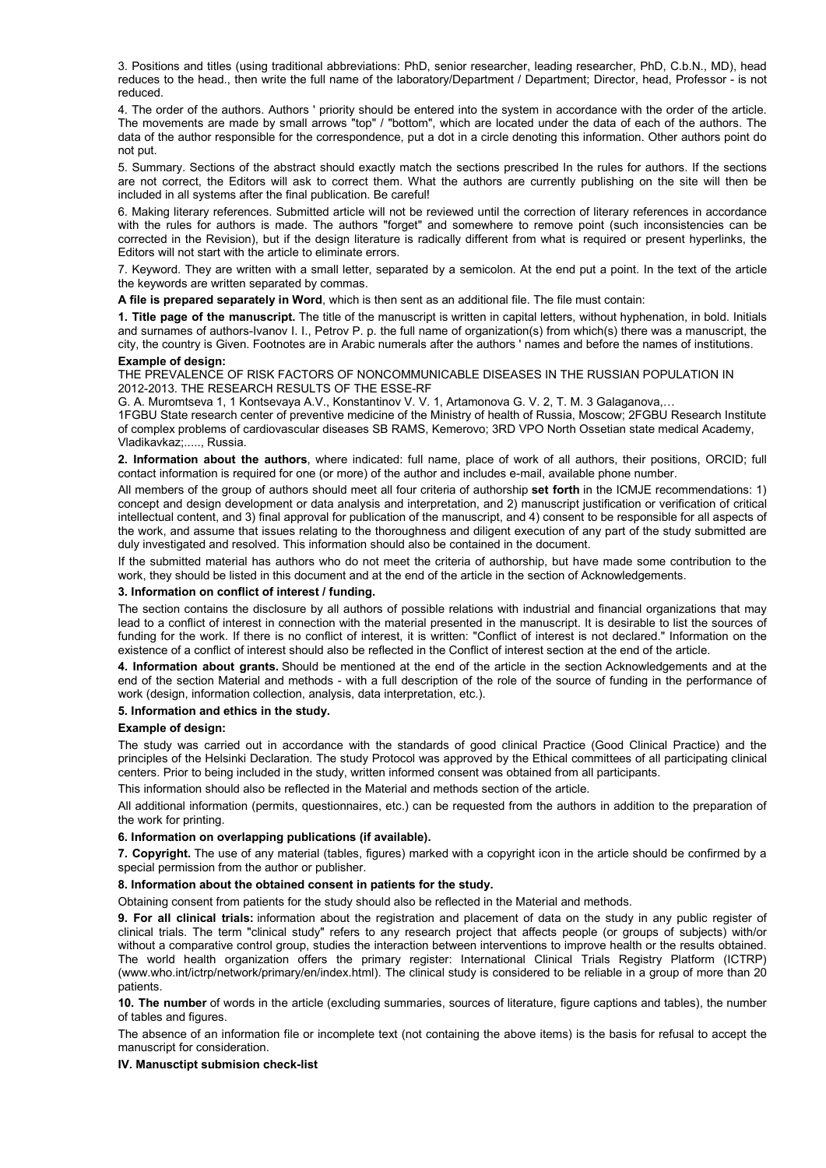3. Positions and titles (using traditional abbreviations: PhD, senior researcher, leading researcher, PhD, C.b.N., MD), head reduces to the head., then write the full name of the laboratory/Department / Department; Director, head, Professor - is not reduced.

4. The order of the authors. Authors ' priority should be entered into the system in accordance with the order of the article. The movements are made by small arrows "top" / "bottom", which are located under the data of each of the authors. The data of the author responsible for the correspondence, put a dot in a circle denoting this information. Other authors point do not put.

5. Summary. Sections of the abstract should exactly match the sections prescribed In the rules for authors. If the sections are not correct, the Editors will ask to correct them. What the authors are currently publishing on the site will then be included in all systems after the final publication. Be careful!

6. Making literary references. Submitted article will not be reviewed until the correction of literary references in accordance with the rules for authors is made. The authors "forget" and somewhere to remove point (such inconsistencies can be corrected in the Revision), but if the design literature is radically different from what is required or present hyperlinks, the Editors will not start with the article to eliminate errors.

7. Keyword. They are written with a small letter, separated by a semicolon. At the end put a point. In the text of the article the keywords are written separated by commas.

**A file is prepared separately in Word**, which is then sent as an additional file. The file must contain:

**1. Title page of the manuscript.** The title of the manuscript is written in capital letters, without hyphenation, in bold. Initials and surnames of authors-Ivanov I. I., Petrov P. p. the full name of organization(s) from which(s) there was a manuscript, the city, the country is Given. Footnotes are in Arabic numerals after the authors ' names and before the names of institutions.

#### **Example of design:**

THE PREVALENCE OF RISK FACTORS OF NONCOMMUNICABLE DISEASES IN THE RUSSIAN POPULATION IN 2012-2013. THE RESEARCH RESULTS OF THE ESSE-RF

G. A. Muromtseva 1, 1 Kontsevaya A.V., Konstantinov V. V. 1, Artamonova G. V. 2, T. M. 3 Galaganova,…

1FGBU State research center of preventive medicine of the Ministry of health of Russia, Moscow; 2FGBU Research Institute of complex problems of cardiovascular diseases SB RAMS, Kemerovo; 3RD VPO North Ossetian state medical Academy, Vladikavkaz;....., Russia.

**2. Information about the authors**, where indicated: full name, place of work of all authors, their positions, ORCID; full contact information is required for one (or more) of the author and includes e-mail, available phone number.

All members of the group of authors should meet all four criteria of authorship **set forth** in the ICMJE recommendations: 1) concept and design development or data analysis and interpretation, and 2) manuscript justification or verification of critical intellectual content, and 3) final approval for publication of the manuscript, and 4) consent to be responsible for all aspects of the work, and assume that issues relating to the thoroughness and diligent execution of any part of the study submitted are duly investigated and resolved. This information should also be contained in the document.

If the submitted material has authors who do not meet the criteria of authorship, but have made some contribution to the work, they should be listed in this document and at the end of the article in the section of Acknowledgements.

#### **3. Information on conflict of interest / funding.**

The section contains the disclosure by all authors of possible relations with industrial and financial organizations that may lead to a conflict of interest in connection with the material presented in the manuscript. It is desirable to list the sources of funding for the work. If there is no conflict of interest, it is written: "Conflict of interest is not declared." Information on the existence of a conflict of interest should also be reflected in the Conflict of interest section at the end of the article.

**4. Information about grants.** Should be mentioned at the end of the article in the section Acknowledgements and at the end of the section Material and methods - with a full description of the role of the source of funding in the performance of work (design, information collection, analysis, data interpretation, etc.).

### **5. Information and ethics in the study.**

#### **Example of design:**

The study was carried out in accordance with the standards of good clinical Practice (Good Clinical Practice) and the principles of the Helsinki Declaration. The study Protocol was approved by the Ethical committees of all participating clinical centers. Prior to being included in the study, written informed consent was obtained from all participants.

This information should also be reflected in the Material and methods section of the article.

All additional information (permits, questionnaires, etc.) can be requested from the authors in addition to the preparation of the work for printing.

#### **6. Information on overlapping publications (if available).**

**7. Copyright.** The use of any material (tables, figures) marked with a copyright icon in the article should be confirmed by a special permission from the author or publisher.

#### **8. Information about the obtained consent in patients for the study.**

Obtaining consent from patients for the study should also be reflected in the Material and methods.

**9. For all clinical trials:** information about the registration and placement of data on the study in any public register of clinical trials. The term "clinical study" refers to any research project that affects people (or groups of subjects) with/or without a comparative control group, studies the interaction between interventions to improve health or the results obtained. The world health organization offers the primary register: International Clinical Trials Registry Platform (ICTRP) (www.who.int/ictrp/network/primary/en/index.html). The clinical study is considered to be reliable in a group of more than 20 patients.

**10. The number** of words in the article (excluding summaries, sources of literature, figure captions and tables), the number of tables and figures.

The absence of an information file or incomplete text (not containing the above items) is the basis for refusal to accept the manuscript for consideration.

#### **IV. Manusctipt submision check-list**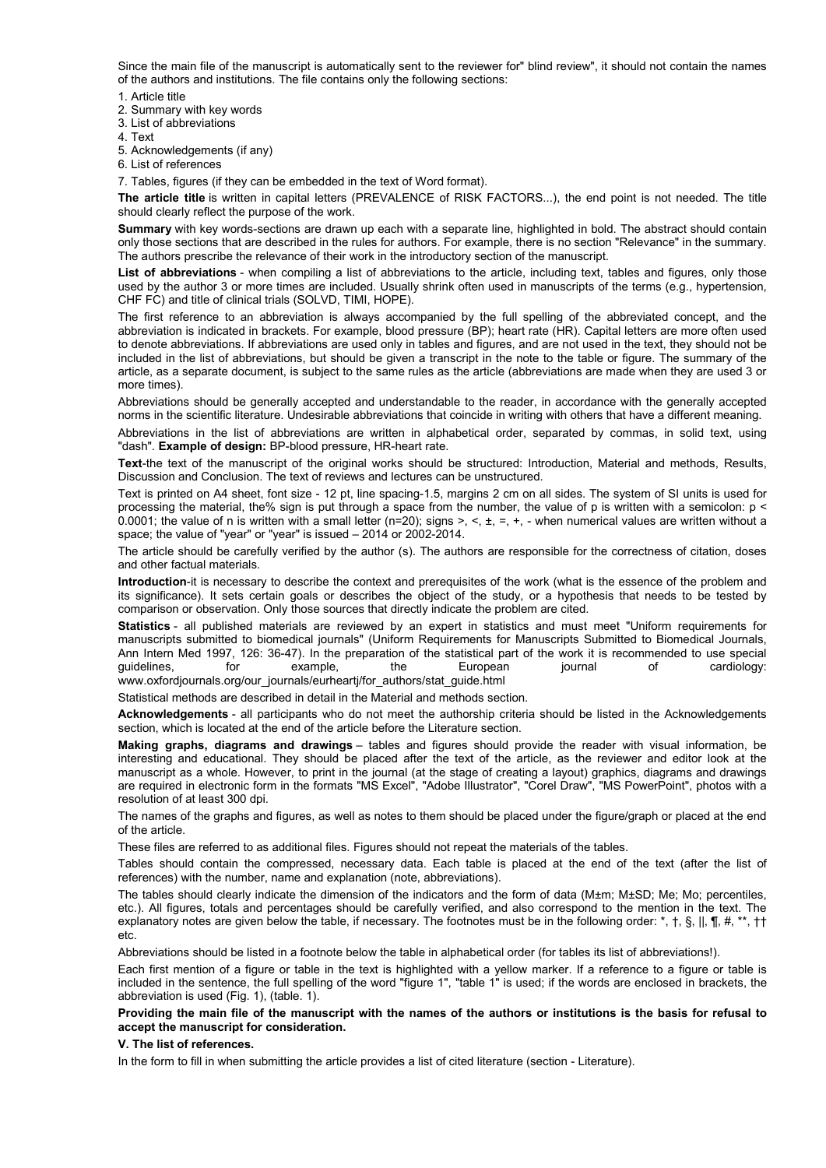Since the main file of the manuscript is automatically sent to the reviewer for" blind review", it should not contain the names of the authors and institutions. The file contains only the following sections:

1. Article title

2. Summary with key words

3. List of abbreviations

4. Text

5. Acknowledgements (if any)

6. List of references

7. Tables, figures (if they can be embedded in the text of Word format).

**The article title** is written in capital letters (PREVALENCE of RISK FACTORS...), the end point is not needed. The title should clearly reflect the purpose of the work.

**Summary** with key words-sections are drawn up each with a separate line, highlighted in bold. The abstract should contain only those sections that are described in the rules for authors. For example, there is no section "Relevance" in the summary. The authors prescribe the relevance of their work in the introductory section of the manuscript.

**List of abbreviations** - when compiling a list of abbreviations to the article, including text, tables and figures, only those used by the author 3 or more times are included. Usually shrink often used in manuscripts of the terms (e.g., hypertension, CHF FC) and title of clinical trials (SOLVD, TIMI, HOPE).

The first reference to an abbreviation is always accompanied by the full spelling of the abbreviated concept, and the abbreviation is indicated in brackets. For example, blood pressure (BP); heart rate (HR). Capital letters are more often used to denote abbreviations. If abbreviations are used only in tables and figures, and are not used in the text, they should not be included in the list of abbreviations, but should be given a transcript in the note to the table or figure. The summary of the article, as a separate document, is subject to the same rules as the article (abbreviations are made when they are used 3 or more times).

Abbreviations should be generally accepted and understandable to the reader, in accordance with the generally accepted norms in the scientific literature. Undesirable abbreviations that coincide in writing with others that have a different meaning.

Abbreviations in the list of abbreviations are written in alphabetical order, separated by commas, in solid text, using "dash". **Example of design:** BP-blood pressure, HR-heart rate.

**Text**-the text of the manuscript of the original works should be structured: Introduction, Material and methods, Results, Discussion and Conclusion. The text of reviews and lectures can be unstructured.

Text is printed on A4 sheet, font size - 12 pt, line spacing-1.5, margins 2 cm on all sides. The system of SI units is used for processing the material, the% sign is put through a space from the number, the value of p is written with a semicolon: p < 0.0001; the value of n is written with a small letter (n=20); signs >, <,  $\pm$ , =,  $\pm$ , - when numerical values are written without a space; the value of "year" or "year" is issued – 2014 or 2002-2014.

The article should be carefully verified by the author (s). The authors are responsible for the correctness of citation, doses and other factual materials.

**Introduction**-it is necessary to describe the context and prerequisites of the work (what is the essence of the problem and its significance). It sets certain goals or describes the object of the study, or a hypothesis that needs to be tested by comparison or observation. Only those sources that directly indicate the problem are cited.

**Statistics** - all published materials are reviewed by an expert in statistics and must meet "Uniform requirements for manuscripts submitted to biomedical journals" (Uniform Requirements for Manuscripts Submitted to Biomedical Journals, Ann Intern Med 1997, 126: 36-47). In the preparation of the statistical part of the work it is recommended to use special guidelines, for example, the European journal of cardiology: www.oxfordjournals.org/our\_journals/eurhearti/for\_authors/stat\_guide.html

Statistical methods are described in detail in the Material and methods section.

**Acknowledgements** - all participants who do not meet the authorship criteria should be listed in the Acknowledgements section, which is located at the end of the article before the Literature section.

**Making graphs, diagrams and drawings** – tables and figures should provide the reader with visual information, be interesting and educational. They should be placed after the text of the article, as the reviewer and editor look at the manuscript as a whole. However, to print in the journal (at the stage of creating a layout) graphics, diagrams and drawings are required in electronic form in the formats "MS Excel", "Adobe Illustrator", "Corel Draw", "MS PowerPoint", photos with a resolution of at least 300 dpi.

The names of the graphs and figures, as well as notes to them should be placed under the figure/graph or placed at the end of the article.

These files are referred to as additional files. Figures should not repeat the materials of the tables.

Tables should contain the compressed, necessary data. Each table is placed at the end of the text (after the list of references) with the number, name and explanation (note, abbreviations).

The tables should clearly indicate the dimension of the indicators and the form of data (M±m; M±SD; Me; Mo; percentiles, etc.). All figures, totals and percentages should be carefully verified, and also correspond to the mention in the text. The explanatory notes are given below the table, if necessary. The footnotes must be in the following order:  $*$ ,  $\dagger$ ,  $\S$ ,  $\parallel$ ,  $\P$ ,  $\sharp$ ,  $*^*$ ,  $\dagger\uparrow$ etc.

Abbreviations should be listed in a footnote below the table in alphabetical order (for tables its list of abbreviations!).

Each first mention of a figure or table in the text is highlighted with a yellow marker. If a reference to a figure or table is included in the sentence, the full spelling of the word "figure 1", "table 1" is used; if the words are enclosed in brackets, the abbreviation is used (Fig. 1), (table. 1).

### **Providing the main file of the manuscript with the names of the authors or institutions is the basis for refusal to accept the manuscript for consideration.**

#### **V. The list of references.**

In the form to fill in when submitting the article provides a list of cited literature (section - Literature).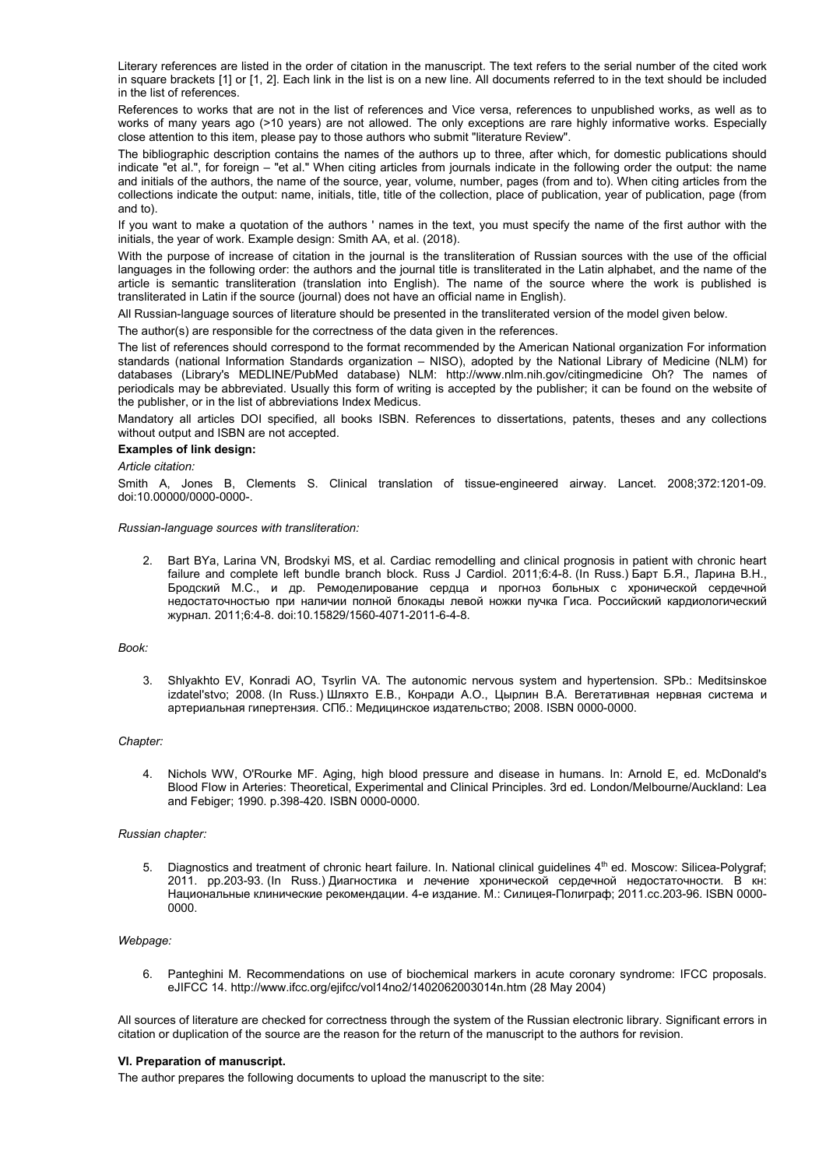Literary references are listed in the order of citation in the manuscript. The text refers to the serial number of the cited work in square brackets [1] or [1, 2]. Each link in the list is on a new line. All documents referred to in the text should be included in the list of references.

References to works that are not in the list of references and Vice versa, references to unpublished works, as well as to works of many years ago (>10 years) are not allowed. The only exceptions are rare highly informative works. Especially close attention to this item, please pay to those authors who submit "literature Review".

The bibliographic description contains the names of the authors up to three, after which, for domestic publications should indicate "et al.", for foreign – "et al." When citing articles from journals indicate in the following order the output: the name and initials of the authors, the name of the source, year, volume, number, pages (from and to). When citing articles from the collections indicate the output: name, initials, title, title of the collection, place of publication, year of publication, page (from and to).

If you want to make a quotation of the authors ' names in the text, you must specify the name of the first author with the initials, the year of work. Example design: Smith AA, et al. (2018).

With the purpose of increase of citation in the journal is the transliteration of Russian sources with the use of the official languages in the following order: the authors and the journal title is transliterated in the Latin alphabet, and the name of the article is semantic transliteration (translation into English). The name of the source where the work is published is transliterated in Latin if the source (journal) does not have an official name in English).

All Russian-language sources of literature should be presented in the transliterated version of the model given below.

The author(s) are responsible for the correctness of the data given in the references.

The list of references should correspond to the format recommended by the American National organization For information standards (national Information Standards organization – NISO), adopted by the National Library of Medicine (NLM) for databases (Library's MEDLINE/PubMed database) NLM: http://www.nlm.nih.gov/citingmedicine Oh? The names of periodicals may be abbreviated. Usually this form of writing is accepted by the publisher; it can be found on the website of the publisher, or in the list of abbreviations Index Medicus.

Mandatory all articles DOI specified, all books ISBN. References to dissertations, patents, theses and any collections without output and ISBN are not accepted.

#### **Examples of link design:**

#### *Article citation:*

Smith A, Jones B, Clements S. Clinical translation of tissue-engineered airway. Lancet. 2008;372:1201-09. doi:10.00000/0000-0000-.

#### *Russian-language sources with transliteration:*

2. Bart BYa, Larina VN, Brodskyi MS, et al. Cardiac remodelling and clinical prognosis in patient with chronic heart failure and complete left bundle branch block. Russ J Cardiol. 2011;6:4-8. (In Russ.) Барт Б.Я., Ларина В.Н., Бродский М.С., и др. Ремоделирование сердца и прогноз больных с хронической сердечной недостаточностью при наличии полной блокады левой ножки пучка Гиса. Российский кардиологический журнал. 2011;6:4-8. doi:[10.15829/1560](https://doi.org/10.15829/1560-4071-2018-5-7-14)-4071-2011-6-4-8.

#### *Book:*

3. Shlyakhto EV, Konradi AO, Tsyrlin VA. The autonomic nervous system and hypertension. SPb.: Meditsinskoe izdatel'stvo; 2008. (In Russ.) Шляхто Е.В., Конради А.О., Цырлин В.А. Вегетативная нервная система и артериальная гипертензия. СПб.: Медицинское издательство; 2008. ISBN 0000-0000.

#### *Chapter:*

4. Nichols WW, O'Rourke MF. Aging, high blood pressure and disease in humans. In: Arnold E, ed. McDonald's Blood Flow in Arteries: Theoretical, Experimental and Clinical Principles. 3rd ed. London/Melbourne/Auckland: Lea and Febiger; 1990. p.398-420. ISBN 0000-0000.

#### *Russian chapter:*

Diagnostics and treatment of chronic heart failure. In. National clinical guidelines 4<sup>th</sup> ed. Moscow: Silicea-Polygraf; 2011. pp.203-93. (In Russ.) Диагностика и лечение хронической сердечной недостаточности. В кн: Национальные клинические рекомендации. 4-е издание. М.: Силицея-Полиграф; 2011.сс.203-96. ISBN 0000- 0000.

#### *Webpage:*

6. Panteghini M. Recommendations on use of biochemical markers in acute coronary syndrome: IFCC proposals. eJIFCC 14. <http://www.ifcc.org/ejifcc/vol14no2/1402062003014n.htm> (28 May 2004)

All sources of literature are checked for correctness through the system of the Russian electronic library. Significant errors in citation or duplication of the source are the reason for the return of the manuscript to the authors for revision.

#### **VI. Preparation of manuscript.**

The author prepares the following documents to upload the manuscript to the site: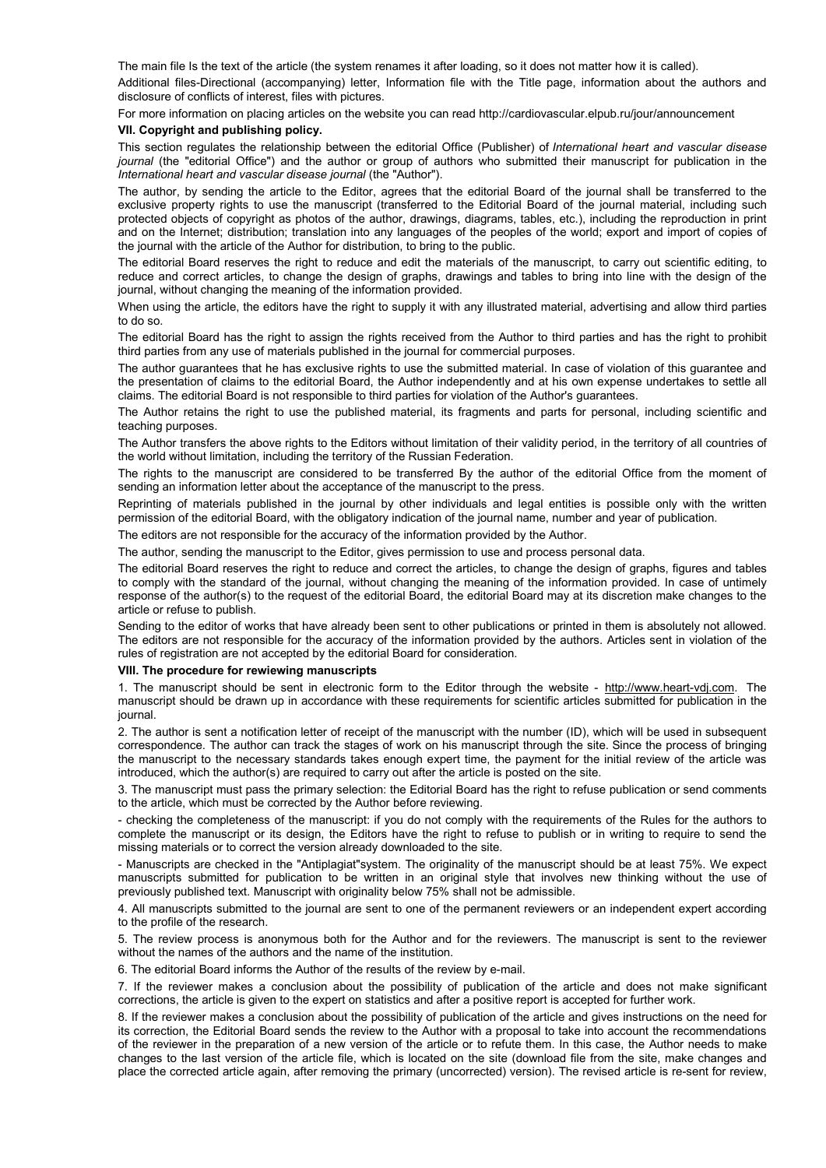The main file Is the text of the article (the system renames it after loading, so it does not matter how it is called).

Additional files-Directional (accompanying) letter, Information file with the Title page, information about the authors and disclosure of conflicts of interest, files with pictures.

For more information on placing articles on the website you can read http://cardiovascular.elpub.ru/jour/announcement

## **VII. Copyright and publishing policy.**

This section regulates the relationship between the editorial Office (Publisher) of *International heart and vascular disease journal* (the "editorial Office") and the author or group of authors who submitted their manuscript for publication in the *International heart and vascular disease journal* (the "Author").

The author, by sending the article to the Editor, agrees that the editorial Board of the journal shall be transferred to the exclusive property rights to use the manuscript (transferred to the Editorial Board of the journal material, including such protected objects of copyright as photos of the author, drawings, diagrams, tables, etc.), including the reproduction in print and on the Internet; distribution; translation into any languages of the peoples of the world; export and import of copies of the journal with the article of the Author for distribution, to bring to the public.

The editorial Board reserves the right to reduce and edit the materials of the manuscript, to carry out scientific editing, to reduce and correct articles, to change the design of graphs, drawings and tables to bring into line with the design of the journal, without changing the meaning of the information provided.

When using the article, the editors have the right to supply it with any illustrated material, advertising and allow third parties to do so.

The editorial Board has the right to assign the rights received from the Author to third parties and has the right to prohibit third parties from any use of materials published in the journal for commercial purposes.

The author guarantees that he has exclusive rights to use the submitted material. In case of violation of this guarantee and the presentation of claims to the editorial Board, the Author independently and at his own expense undertakes to settle all claims. The editorial Board is not responsible to third parties for violation of the Author's guarantees.

The Author retains the right to use the published material, its fragments and parts for personal, including scientific and teaching purposes.

The Author transfers the above rights to the Editors without limitation of their validity period, in the territory of all countries of the world without limitation, including the territory of the Russian Federation.

The rights to the manuscript are considered to be transferred By the author of the editorial Office from the moment of sending an information letter about the acceptance of the manuscript to the press.

Reprinting of materials published in the journal by other individuals and legal entities is possible only with the written permission of the editorial Board, with the obligatory indication of the journal name, number and year of publication.

The editors are not responsible for the accuracy of the information provided by the Author.

The author, sending the manuscript to the Editor, gives permission to use and process personal data.

The editorial Board reserves the right to reduce and correct the articles, to change the design of graphs, figures and tables to comply with the standard of the journal, without changing the meaning of the information provided. In case of untimely response of the author(s) to the request of the editorial Board, the editorial Board may at its discretion make changes to the article or refuse to publish.

Sending to the editor of works that have already been sent to other publications or printed in them is absolutely not allowed. The editors are not responsible for the accuracy of the information provided by the authors. Articles sent in violation of the rules of registration are not accepted by the editorial Board for consideration.

## **VIII. The procedure for rewiewing manuscripts**

1. The manuscript should be sent in electronic form to the Editor through the website - [http://www.heart-vdj.com.](http://www.heart-vdj.com/) The manuscript should be drawn up in accordance with these requirements for scientific articles submitted for publication in the journal.

2. The author is sent a notification letter of receipt of the manuscript with the number (ID), which will be used in subsequent correspondence. The author can track the stages of work on his manuscript through the site. Since the process of bringing the manuscript to the necessary standards takes enough expert time, the payment for the initial review of the article was introduced, which the author(s) are required to carry out after the article is posted on the site.

3. The manuscript must pass the primary selection: the Editorial Board has the right to refuse publication or send comments to the article, which must be corrected by the Author before reviewing.

- checking the completeness of the manuscript: if you do not comply with the requirements of the Rules for the authors to complete the manuscript or its design, the Editors have the right to refuse to publish or in writing to require to send the missing materials or to correct the version already downloaded to the site.

- Manuscripts are checked in the "Antiplagiat"system. The originality of the manuscript should be at least 75%. We expect manuscripts submitted for publication to be written in an original style that involves new thinking without the use of previously published text. Manuscript with originality below 75% shall not be admissible.

4. All manuscripts submitted to the journal are sent to one of the permanent reviewers or an independent expert according to the profile of the research.

5. The review process is anonymous both for the Author and for the reviewers. The manuscript is sent to the reviewer without the names of the authors and the name of the institution.

6. The editorial Board informs the Author of the results of the review by e-mail.

7. If the reviewer makes a conclusion about the possibility of publication of the article and does not make significant corrections, the article is given to the expert on statistics and after a positive report is accepted for further work.

8. If the reviewer makes a conclusion about the possibility of publication of the article and gives instructions on the need for its correction, the Editorial Board sends the review to the Author with a proposal to take into account the recommendations of the reviewer in the preparation of a new version of the article or to refute them. In this case, the Author needs to make changes to the last version of the article file, which is located on the site (download file from the site, make changes and place the corrected article again, after removing the primary (uncorrected) version). The revised article is re-sent for review,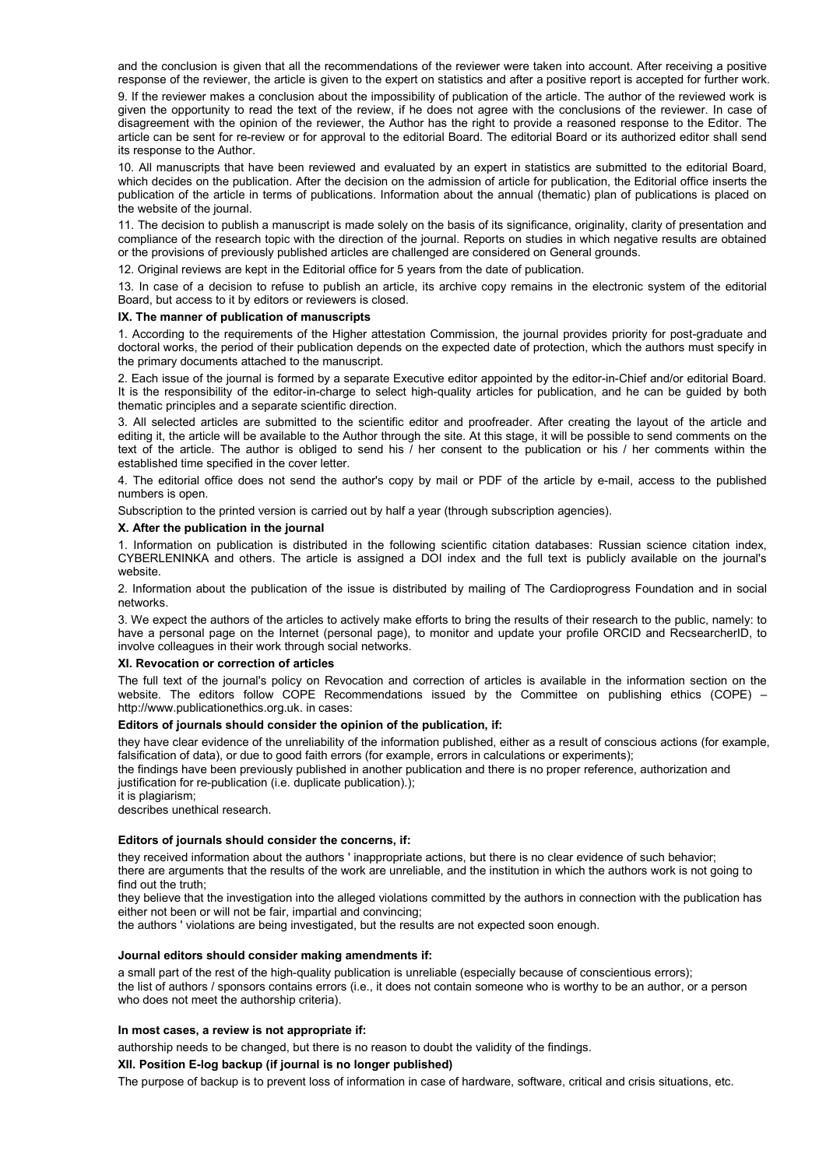and the conclusion is given that all the recommendations of the reviewer were taken into account. After receiving a positive response of the reviewer, the article is given to the expert on statistics and after a positive report is accepted for further work.

9. If the reviewer makes a conclusion about the impossibility of publication of the article. The author of the reviewed work is given the opportunity to read the text of the review, if he does not agree with the conclusions of the reviewer. In case of disagreement with the opinion of the reviewer, the Author has the right to provide a reasoned response to the Editor. The article can be sent for re-review or for approval to the editorial Board. The editorial Board or its authorized editor shall send its response to the Author.

10. All manuscripts that have been reviewed and evaluated by an expert in statistics are submitted to the editorial Board, which decides on the publication. After the decision on the admission of article for publication, the Editorial office inserts the publication of the article in terms of publications. Information about the annual (thematic) plan of publications is placed on the website of the journal.

11. The decision to publish a manuscript is made solely on the basis of its significance, originality, clarity of presentation and compliance of the research topic with the direction of the journal. Reports on studies in which negative results are obtained or the provisions of previously published articles are challenged are considered on General grounds.

12. Original reviews are kept in the Editorial office for 5 years from the date of publication.

13. In case of a decision to refuse to publish an article, its archive copy remains in the electronic system of the editorial Board, but access to it by editors or reviewers is closed.

### **IX. The manner of publication of manuscripts**

1. According to the requirements of the Higher attestation Commission, the journal provides priority for post-graduate and doctoral works, the period of their publication depends on the expected date of protection, which the authors must specify in the primary documents attached to the manuscript.

2. Each issue of the journal is formed by a separate Executive editor appointed by the editor-in-Chief and/or editorial Board. It is the responsibility of the editor-in-charge to select high-quality articles for publication, and he can be guided by both thematic principles and a separate scientific direction.

3. All selected articles are submitted to the scientific editor and proofreader. After creating the layout of the article and editing it, the article will be available to the Author through the site. At this stage, it will be possible to send comments on the text of the article. The author is obliged to send his / her consent to the publication or his / her comments within the established time specified in the cover letter.

4. The editorial office does not send the author's copy by mail or PDF of the article by e-mail, access to the published numbers is open.

Subscription to the printed version is carried out by half a year (through subscription agencies).

#### **X. After the publication in the journal**

1. Information on publication is distributed in the following scientific citation databases: Russian science citation index, CYBERLENINKA and others. The article is assigned a DOI index and the full text is publicly available on the journal's website.

2. Information about the publication of the issue is distributed by mailing of The Cardioprogress Foundation and in social networks.

3. We expect the authors of the articles to actively make efforts to bring the results of their research to the public, namely: to have a personal page on the Internet (personal page), to monitor and update your profile ORCID and RecsearcherID, to involve colleagues in their work through social networks.

#### **XI. Revocation or correction of articles**

The full text of the journal's policy on Revocation and correction of articles is available in the information section on the website. The editors follow COPE Recommendations issued by the Committee on publishing ethics (COPE) http://www.publicationethics.org.uk. in cases:

#### **Editors of journals should consider the opinion of the publication, if:**

they have clear evidence of the unreliability of the information published, either as a result of conscious actions (for example, falsification of data), or due to good faith errors (for example, errors in calculations or experiments);

the findings have been previously published in another publication and there is no proper reference, authorization and justification for re-publication (i.e. duplicate publication).);

it is plagiarism;

describes unethical research.

#### **Editors of journals should consider the concerns, if:**

they received information about the authors ' inappropriate actions, but there is no clear evidence of such behavior; there are arguments that the results of the work are unreliable, and the institution in which the authors work is not going to find out the truth;

they believe that the investigation into the alleged violations committed by the authors in connection with the publication has either not been or will not be fair, impartial and convincing;

the authors ' violations are being investigated, but the results are not expected soon enough.

#### **Journal editors should consider making amendments if:**

a small part of the rest of the high-quality publication is unreliable (especially because of conscientious errors);

the list of authors / sponsors contains errors (i.e., it does not contain someone who is worthy to be an author, or a person who does not meet the authorship criteria).

#### **In most cases, a review is not appropriate if:**

authorship needs to be changed, but there is no reason to doubt the validity of the findings.

#### **XII. Position E-log backup (if journal is no longer published)**

The purpose of backup is to prevent loss of information in case of hardware, software, critical and crisis situations, etc.